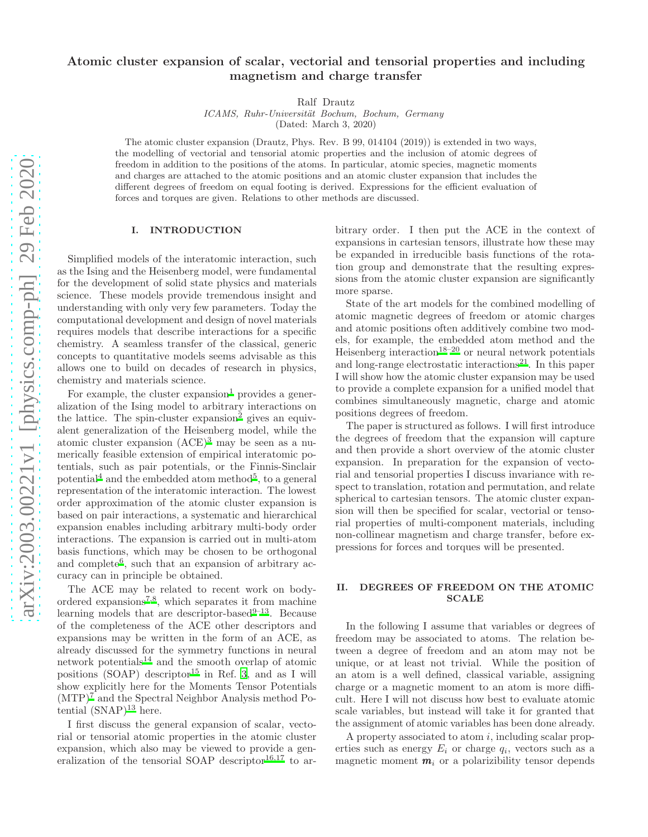# Atomic cluster expansion of scalar, vectorial and tensorial properties and including magnetism and charge transfer

Ralf Drautz

ICAMS, Ruhr-Universität Bochum, Bochum, Germany (Dated: March 3, 2020)

The atomic cluster expansion (Drautz, Phys. Rev. B 99, 014104 (2019)) is extended in two ways, the modelling of vectorial and tensorial atomic properties and the inclusion of atomic degrees of freedom in addition to the positions of the atoms. In particular, atomic species, magnetic moments and charges are attached to the atomic positions and an atomic cluster expansion that includes the different degrees of freedom on equal footing is derived. Expressions for the efficient evaluation of forces and torques are given. Relations to other methods are discussed.

### I. INTRODUCTION

Simplified models of the interatomic interaction, such as the Ising and the Heisenberg model, were fundamental for the development of solid state physics and materials science. These models provide tremendous insight and understanding with only very few parameters. Today the computational development and design of novel materials requires models that describe interactions for a specific chemistry. A seamless transfer of the classical, generic concepts to quantitative models seems advisable as this allows one to build on decades of research in physics, chemistry and materials science.

For example, the cluster expansion<sup>[1](#page-10-0)</sup> provides a generalization of the Ising model to arbitrary interactions on the lattice. The spin-cluster expansion<sup>[2](#page-10-1)</sup> gives an equivalent generalization of the Heisenberg model, while the atomic cluster expansion (ACE)[3](#page-10-2) may be seen as a numerically feasible extension of empirical interatomic potentials, such as pair potentials, or the Finnis-Sinclair potential<sup>[4](#page-10-3)</sup> and the embedded atom method<sup>[5](#page-10-4)</sup>, to a general representation of the interatomic interaction. The lowest order approximation of the atomic cluster expansion is based on pair interactions, a systematic and hierarchical expansion enables including arbitrary multi-body order interactions. The expansion is carried out in multi-atom basis functions, which may be chosen to be orthogonal and complete<sup>[6](#page-10-5)</sup>, such that an expansion of arbitrary accuracy can in principle be obtained.

The ACE may be related to recent work on body-ordered expansions<sup>[7](#page-10-6)[,8](#page-10-7)</sup>, which separates it from machine learning models that are descriptor-based $9-13$  $9-13$ . Because of the completeness of the ACE other descriptors and expansions may be written in the form of an ACE, as already discussed for the symmetry functions in neural network potentials[14](#page-10-10) and the smooth overlap of atomic positions (SOAP) descriptor<sup>[15](#page-10-11)</sup> in Ref. [3](#page-10-2), and as I will show explicitly here for the Moments Tensor Potentials  $(MTP)<sup>7</sup>$  $(MTP)<sup>7</sup>$  $(MTP)<sup>7</sup>$  and the Spectral Neighbor Analysis method Potential  $(SNAP)^{13}$  $(SNAP)^{13}$  $(SNAP)^{13}$  here.

I first discuss the general expansion of scalar, vectorial or tensorial atomic properties in the atomic cluster expansion, which also may be viewed to provide a gen-eralization of the tensorial SOAP descriptor<sup>[16](#page-10-12)[,17](#page-10-13)</sup> to arbitrary order. I then put the ACE in the context of expansions in cartesian tensors, illustrate how these may be expanded in irreducible basis functions of the rotation group and demonstrate that the resulting expressions from the atomic cluster expansion are significantly more sparse.

State of the art models for the combined modelling of atomic magnetic degrees of freedom or atomic charges and atomic positions often additively combine two models, for example, the embedded atom method and the Heisenberg interaction<sup>[18](#page-10-14)[–20](#page-10-15)</sup> or neural network potentials and long-range electrostatic interactions $21$ . In this paper I will show how the atomic cluster expansion may be used to provide a complete expansion for a unified model that combines simultaneously magnetic, charge and atomic positions degrees of freedom.

The paper is structured as follows. I will first introduce the degrees of freedom that the expansion will capture and then provide a short overview of the atomic cluster expansion. In preparation for the expansion of vectorial and tensorial properties I discuss invariance with respect to translation, rotation and permutation, and relate spherical to cartesian tensors. The atomic cluster expansion will then be specified for scalar, vectorial or tensorial properties of multi-component materials, including non-collinear magnetism and charge transfer, before expressions for forces and torques will be presented.

# II. DEGREES OF FREEDOM ON THE ATOMIC **SCALE**

In the following I assume that variables or degrees of freedom may be associated to atoms. The relation between a degree of freedom and an atom may not be unique, or at least not trivial. While the position of an atom is a well defined, classical variable, assigning charge or a magnetic moment to an atom is more difficult. Here I will not discuss how best to evaluate atomic scale variables, but instead will take it for granted that the assignment of atomic variables has been done already.

A property associated to atom  $i$ , including scalar properties such as energy  $E_i$  or charge  $q_i$ , vectors such as a magnetic moment  $m_i$  or a polarizibility tensor depends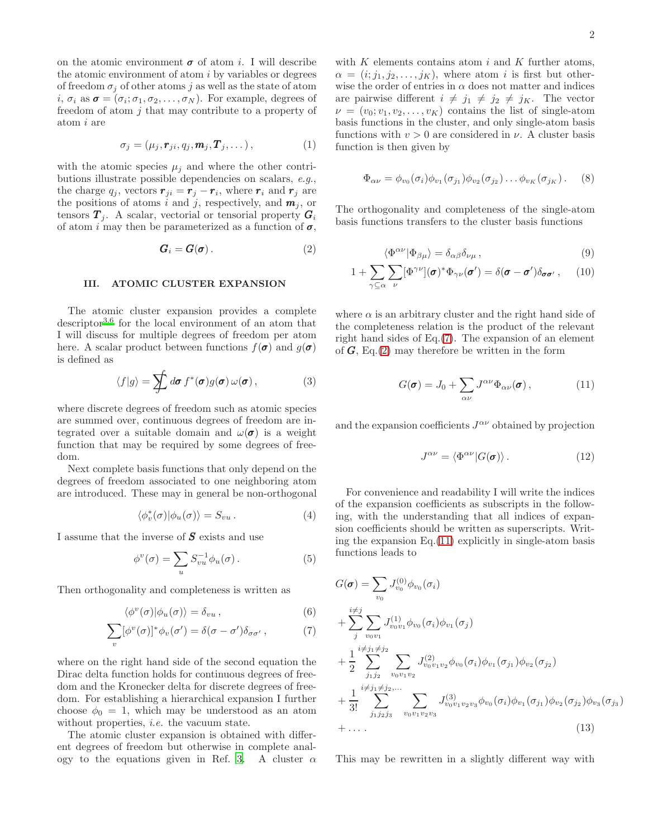on the atomic environment  $\sigma$  of atom i. I will describe the atomic environment of atom  $i$  by variables or degrees of freedom  $\sigma_i$  of other atoms j as well as the state of atom  $i, \sigma_i$  as  $\boldsymbol{\sigma} = (\sigma_i; \sigma_1, \sigma_2, \dots, \sigma_N)$ . For example, degrees of freedom of atom  $j$  that may contribute to a property of atom i are

<span id="page-1-4"></span>
$$
\sigma_j = (\mu_j, \mathbf{r}_{ji}, q_j, \mathbf{m}_j, \mathbf{T}_j, \dots), \tag{1}
$$

with the atomic species  $\mu_i$  and where the other contributions illustrate possible dependencies on scalars, e.g., the charge  $q_j$ , vectors  $\mathbf{r}_{ji} = \mathbf{r}_j - \mathbf{r}_i$ , where  $\mathbf{r}_i$  and  $\mathbf{r}_j$  are the positions of atoms i and j, respectively, and  $m_j$ , or tensors  $\boldsymbol{T}_i$ . A scalar, vectorial or tensorial property  $\boldsymbol{G}_i$ of atom i may then be parameterized as a function of  $\sigma$ ,

<span id="page-1-1"></span>
$$
G_i = G(\sigma). \tag{2}
$$

#### III. ATOMIC CLUSTER EXPANSION

The atomic cluster expansion provides a complete descriptor[3](#page-10-2)[,6](#page-10-5) for the local environment of an atom that I will discuss for multiple degrees of freedom per atom here. A scalar product between functions  $f(\boldsymbol{\sigma})$  and  $g(\boldsymbol{\sigma})$ is defined as

$$
\langle f|g\rangle = \sum f d\boldsymbol{\sigma} f^*(\boldsymbol{\sigma}) g(\boldsymbol{\sigma}) \omega(\boldsymbol{\sigma}), \qquad (3)
$$

where discrete degrees of freedom such as atomic species are summed over, continuous degrees of freedom are integrated over a suitable domain and  $\omega(\sigma)$  is a weight function that may be required by some degrees of freedom.

Next complete basis functions that only depend on the degrees of freedom associated to one neighboring atom are introduced. These may in general be non-orthogonal

$$
\langle \phi_v^*(\sigma) | \phi_u(\sigma) \rangle = S_{vu} . \tag{4}
$$

I assume that the inverse of  $S$  exists and use

$$
\phi^v(\sigma) = \sum_u S_{vu}^{-1} \phi_u(\sigma).
$$
 (5)

Then orthogonality and completeness is written as

$$
\langle \phi^v(\sigma) | \phi_u(\sigma) \rangle = \delta_{vu} , \qquad (6)
$$

$$
\sum_{v} [\phi^{v}(\sigma)]^* \phi_{v}(\sigma') = \delta(\sigma - \sigma') \delta_{\sigma \sigma'}, \qquad (7)
$$

where on the right hand side of the second equation the Dirac delta function holds for continuous degrees of freedom and the Kronecker delta for discrete degrees of freedom. For establishing a hierarchical expansion I further choose  $\phi_0 = 1$ , which may be understood as an atom without properties, *i.e.* the vacuum state.

The atomic cluster expansion is obtained with different degrees of freedom but otherwise in complete anal-ogy to the equations given in Ref. [3.](#page-10-2) A cluster  $\alpha$ 

with  $K$  elements contains atom  $i$  and  $K$  further atoms,  $\alpha = (i; j_1, j_2, \ldots, j_K)$ , where atom i is first but otherwise the order of entries in  $\alpha$  does not matter and indices are pairwise different  $i \neq j_1 \neq j_2 \neq j_K$ . The vector  $\nu = (v_0; v_1, v_2, \dots, v_K)$  contains the list of single-atom basis functions in the cluster, and only single-atom basis functions with  $v > 0$  are considered in  $\nu$ . A cluster basis function is then given by

$$
\Phi_{\alpha\nu} = \phi_{v_0}(\sigma_i)\phi_{v_1}(\sigma_{j_1})\phi_{v_2}(\sigma_{j_2})\dots\phi_{v_K}(\sigma_{j_K}).
$$
 (8)

The orthogonality and completeness of the single-atom basis functions transfers to the cluster basis functions

$$
\langle \Phi^{\alpha\nu} | \Phi_{\beta\mu} \rangle = \delta_{\alpha\beta} \delta_{\nu\mu} , \qquad (9)
$$

$$
1 + \sum_{\gamma \subseteq \alpha} \sum_{\nu} [\Phi^{\gamma \nu}] (\boldsymbol{\sigma})^* \Phi_{\gamma \nu} (\boldsymbol{\sigma}') = \delta (\boldsymbol{\sigma} - \boldsymbol{\sigma}') \delta_{\boldsymbol{\sigma} \boldsymbol{\sigma}'}, \qquad (10)
$$

where  $\alpha$  is an arbitrary cluster and the right hand side of the completeness relation is the product of the relevant right hand sides of Eq.[\(7\)](#page-1-0). The expansion of an element of  $\mathbf{G}$ , Eq.[\(2\)](#page-1-1) may therefore be written in the form

$$
G(\pmb{\sigma}) = J_0 + \sum_{\alpha\nu} J^{\alpha\nu} \Phi_{\alpha\nu}(\pmb{\sigma}), \qquad (11)
$$

and the expansion coefficients  $J^{\alpha\nu}$  obtained by projection

<span id="page-1-2"></span>
$$
J^{\alpha\nu} = \langle \Phi^{\alpha\nu} | G(\pmb{\sigma}) \rangle. \tag{12}
$$

For convenience and readability I will write the indices of the expansion coefficients as subscripts in the following, with the understanding that all indices of expansion coefficients should be written as superscripts. Writing the expansion Eq.[\(11\)](#page-1-2) explicitly in single-atom basis functions leads to

<span id="page-1-5"></span><span id="page-1-0"></span>
$$
G(\boldsymbol{\sigma}) = \sum_{v_0} J_{v_0}^{(0)} \phi_{v_0}(\sigma_i)
$$
  
+ 
$$
\sum_{j}^{i \neq j} \sum_{v_0 v_1} J_{v_0 v_1}^{(1)} \phi_{v_0}(\sigma_i) \phi_{v_1}(\sigma_j)
$$
  
+ 
$$
\frac{1}{2} \sum_{j_1 j_2}^{i \neq j_1 \neq j_2} \sum_{v_0 v_1 v_2} J_{v_0 v_1 v_2}^{(2)} \phi_{v_0}(\sigma_i) \phi_{v_1}(\sigma_{j_1}) \phi_{v_2}(\sigma_{j_2})
$$
  
+ 
$$
\frac{1}{3!} \sum_{j_1 j_2 j_3}^{i \neq j_1 \neq j_2, \dots} \sum_{v_0 v_1 v_2 v_3} J_{v_0 v_1 v_2 v_3}^{(3)} \phi_{v_0}(\sigma_i) \phi_{v_1}(\sigma_{j_1}) \phi_{v_2}(\sigma_{j_2}) \phi_{v_3}(\sigma_{j_3})
$$
  
+ 
$$
\dots
$$
 (13)

<span id="page-1-3"></span>)

This may be rewritten in a slightly different way with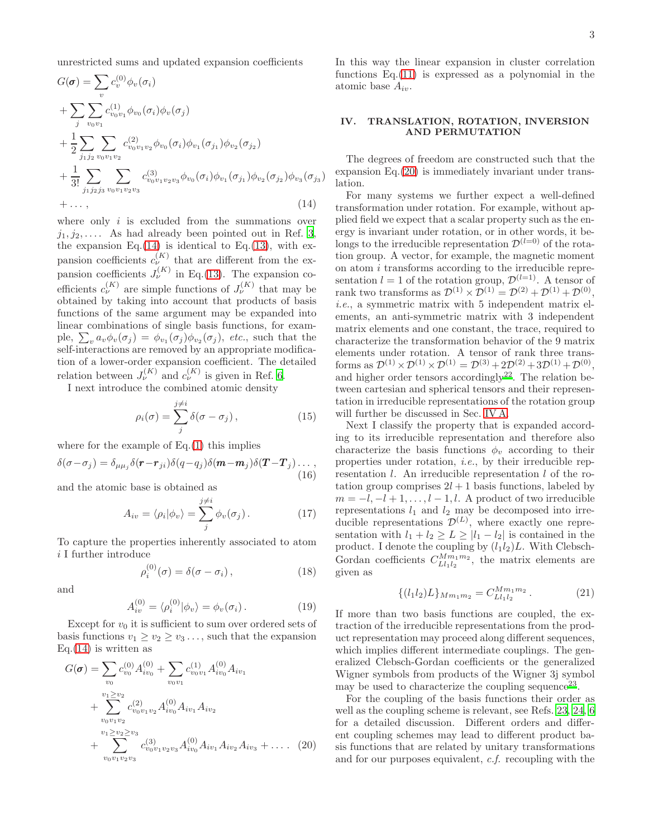unrestricted sums and updated expansion coefficients

$$
G(\boldsymbol{\sigma}) = \sum_{v} c_{v}^{(0)} \phi_{v}(\sigma_{i})
$$
  
+ 
$$
\sum_{j} \sum_{v_{0}v_{1}} c_{v_{0}v_{1}}^{(1)} \phi_{v_{0}}(\sigma_{i}) \phi_{v}(\sigma_{j})
$$
  
+ 
$$
\frac{1}{2} \sum_{j_{1}j_{2}} \sum_{v_{0}v_{1}v_{2}} c_{v_{0}v_{1}v_{2}}^{(2)} \phi_{v_{0}}(\sigma_{i}) \phi_{v_{1}}(\sigma_{j_{1}}) \phi_{v_{2}}(\sigma_{j_{2}})
$$
  
+ 
$$
\frac{1}{3!} \sum_{j_{1}j_{2}j_{3}} \sum_{v_{0}v_{1}v_{2}v_{3}} c_{v_{0}v_{1}v_{2}v_{3}}^{(3)} \phi_{v_{0}}(\sigma_{i}) \phi_{v_{1}}(\sigma_{j_{1}}) \phi_{v_{2}}(\sigma_{j_{2}}) \phi_{v_{3}}(\sigma_{j_{3}})
$$
  
+ ... , (14)

where only  $i$  is excluded from the summations over  $j_1, j_2, \ldots$  As had already been pointed out in Ref. [3](#page-10-2), the expansion Eq. $(14)$  is identical to Eq. $(13)$ , with expansion coefficients  $c_{\nu}^{(K)}$  that are different from the expansion coefficients  $J_{\nu}^{(K)}$  in Eq.[\(13\)](#page-1-3). The expansion coefficients  $c_{\nu}^{(K)}$  are simple functions of  $J_{\nu}^{(K)}$  that may be obtained by taking into account that products of basis functions of the same argument may be expanded into linear combinations of single basis functions, for example,  $\sum_{v} a_v \phi_v(\sigma_j) = \phi_{v_1}(\sigma_j) \phi_{v_2}(\sigma_j)$ , *etc.*, such that the self-interactions are removed by an appropriate modification of a lower-order expansion coefficient. The detailed relation between  $J_{\nu}^{(K)}$  and  $c_{\nu}^{(K)}$  is given in Ref. [6](#page-10-5).

I next introduce the combined atomic density

$$
\rho_i(\sigma) = \sum_j^{j \neq i} \delta(\sigma - \sigma_j), \qquad (15)
$$

where for the example of  $Eq.(1)$  $Eq.(1)$  this implies

$$
\delta(\sigma - \sigma_j) = \delta_{\mu\mu_j} \delta(\mathbf{r} - \mathbf{r}_{ji}) \delta(q - q_j) \delta(\mathbf{m} - \mathbf{m}_j) \delta(\mathbf{T} - \mathbf{T}_j) \dots,
$$
\n(16)

and the atomic base is obtained as

<span id="page-2-2"></span>
$$
A_{iv} = \langle \rho_i | \phi_v \rangle = \sum_{j}^{j \neq i} \phi_v(\sigma_j). \tag{17}
$$

To capture the properties inherently associated to atom i I further introduce

$$
\rho_i^{(0)}(\sigma) = \delta(\sigma - \sigma_i), \qquad (18)
$$

and

$$
A_{iv}^{(0)} = \langle \rho_i^{(0)} | \phi_v \rangle = \phi_v(\sigma_i). \tag{19}
$$

Except for  $v_0$  it is sufficient to sum over ordered sets of basis functions  $v_1 \ge v_2 \ge v_3 \dots$ , such that the expansion Eq. $(14)$  is written as

$$
G(\boldsymbol{\sigma}) = \sum_{v_0} c_{v_0}^{(0)} A_{iv_0}^{(0)} + \sum_{v_0 v_1} c_{v_0 v_1}^{(1)} A_{iv_0}^{(0)} A_{iv_1}
$$
  
+ 
$$
\sum_{v_0 v_1 v_2}^{v_1 \ge v_2} c_{v_0 v_1 v_2}^{(2)} A_{iv_0}^{(0)} A_{iv_1} A_{iv_2}
$$
  
+ 
$$
\sum_{v_0 v_1 v_2 v_3}^{v_1 \ge v_2 \ge v_3} c_{v_0 v_1 v_2 v_3}^{(3)} A_{iv_0}^{(0)} A_{iv_1} A_{iv_2} A_{iv_3} + \dots
$$
 (20)

In this way the linear expansion in cluster correlation functions Eq.[\(11\)](#page-1-2) is expressed as a polynomial in the atomic base  $A_{iv}$ .

# <span id="page-2-3"></span>IV. TRANSLATION, ROTATION, INVERSION AND PERMUTATION

The degrees of freedom are constructed such that the expansion Eq.[\(20\)](#page-2-1) is immediately invariant under translation.

<span id="page-2-0"></span>For many systems we further expect a well-defined transformation under rotation. For example, without applied field we expect that a scalar property such as the energy is invariant under rotation, or in other words, it belongs to the irreducible representation  $\mathcal{D}^{(l=0)}$  of the rotation group. A vector, for example, the magnetic moment on atom i transforms according to the irreducible representation  $l = 1$  of the rotation group,  $\mathcal{D}^{(l=1)}$ . A tensor of rank two transforms as  $\mathcal{D}^{(1)} \times \mathcal{D}^{(1)} = \mathcal{D}^{(2)} + \mathcal{D}^{(1)} + \mathcal{D}^{(0)}$ , i.e., a symmetric matrix with 5 independent matrix elements, an anti-symmetric matrix with 3 independent matrix elements and one constant, the trace, required to characterize the transformation behavior of the 9 matrix elements under rotation. A tensor of rank three transforms as  $\mathcal{D}^{(1)} \times \mathcal{D}^{(1)} \times \mathcal{D}^{(1)} = \mathcal{D}^{(3)} + 2\mathcal{D}^{(2)} + 3\mathcal{D}^{(1)} + \mathcal{D}^{(0)}$ , and higher order tensors accordingly<sup>[22](#page-10-17)</sup>. The relation between cartesian and spherical tensors and their representation in irreducible representations of the rotation group will further be discussed in Sec. [IV A.](#page-3-0)

Next I classify the property that is expanded according to its irreducible representation and therefore also characterize the basis functions  $\phi_v$  according to their properties under rotation, i.e., by their irreducible representation l. An irreducible representation l of the rotation group comprises  $2l + 1$  basis functions, labeled by  $m = -l, -l + 1, \ldots, l - 1, l$ . A product of two irreducible representations  $l_1$  and  $l_2$  may be decomposed into irreducible representations  $\mathcal{D}^{(L)}$ , where exactly one representation with  $l_1 + l_2 \geq L \geq |l_1 - l_2|$  is contained in the product. I denote the coupling by  $(l_1l_2)L$ . With Clebsch-Gordan coefficients  $C_{Ll_1l_2}^{Mm_1m_2}$ , the matrix elements are given as

$$
\{(l_1l_2)L\}_{Mm_1m_2} = C_{Ll_1l_2}^{Mm_1m_2} . \tag{21}
$$

If more than two basis functions are coupled, the extraction of the irreducible representations from the product representation may proceed along different sequences, which implies different intermediate couplings. The generalized Clebsch-Gordan coefficients or the generalized Wigner symbols from products of the Wigner 3j symbol may be used to characterize the coupling sequence<sup>[23](#page-10-18)</sup>.

<span id="page-2-1"></span>For the coupling of the basis functions their order as well as the coupling scheme is relevant, see Refs. [23](#page-10-18), [24,](#page-10-19) [6](#page-10-5) for a detailed discussion. Different orders and different coupling schemes may lead to different product basis functions that are related by unitary transformations and for our purposes equivalent, c.f. recoupling with the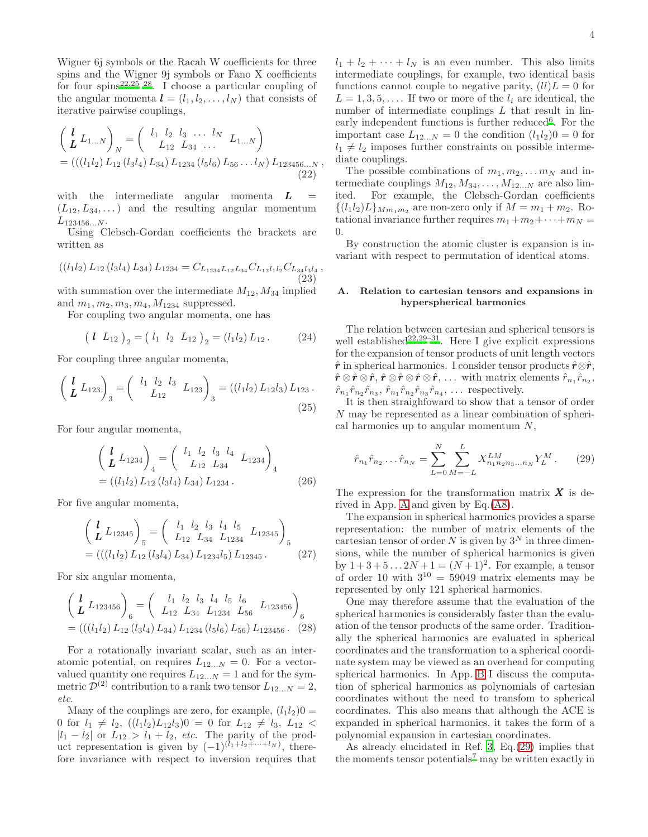Wigner 6j symbols or the Racah W coefficients for three spins and the Wigner 9j symbols or Fano X coefficients for four spins<sup>[22](#page-10-17)[,25](#page-10-20)[–28](#page-10-21)</sup>. I choose a particular coupling of the angular momenta  $\mathbf{l} = (l_1, l_2, \dots, l_N)$  that consists of iterative pairwise couplings,

$$
\begin{aligned}\n\left(\frac{l}{L} L_{1...N}\right)_N &= \left(\begin{array}{ccc} l_1 & l_2 & l_3 & \dots & l_N \\ L_{12} & L_{34} & \dots & L_{1...N} \end{array}\right) \\
&= \left(\left(\left(l_1 l_2\right) L_{12} \left(l_3 l_4\right) L_{34}\right) L_{1234} \left(l_5 l_6\right) L_{56} \dots l_N\right) L_{123456\dots N},\n\end{aligned} \tag{22}
$$

with the intermediate angular momenta  $\boldsymbol{L}$  =  $(L_{12}, L_{34}, \dots)$  and the resulting angular momentum  $L_{123456...N}$ .

Using Clebsch-Gordan coefficients the brackets are written as

$$
((l_1l_2) L_{12} (l_3l_4) L_{34}) L_{1234} = C_{L_{1234}L_{12}L_{34}} C_{L_{12}l_1l_2} C_{L_{34}l_3l_4},
$$
\n(23)

with summation over the intermediate  $M_{12}$ ,  $M_{34}$  implied and  $m_1, m_2, m_3, m_4, M_{1234}$  suppressed.

For coupling two angular momenta, one has

$$
\left(l L_{12}\right)_2 = \left(l_1 l_2 L_{12}\right)_2 = \left(l_1 l_2\right) L_{12}. \tag{24}
$$

For coupling three angular momenta,

$$
\left(\begin{array}{cc} l & L_{123} \\ L & L_{123} \end{array}\right)_3 = \left(\begin{array}{cc} l_1 & l_2 & l_3 \\ L_{12} & L_{123} \end{array}\right)_3 = \left(\left(l_1 l_2\right) L_{12} l_3\right) L_{123} \,. \tag{25}
$$

For four angular momenta,

$$
\begin{pmatrix}\n\mathbf{l} & L_{1234} \\
\mathbf{L} & L_{1234}\n\end{pmatrix}_4 = \begin{pmatrix}\nl_1 & l_2 & l_3 & l_4 \\
L_{12} & L_{34} & L_{1234}\n\end{pmatrix}_4
$$
\n
$$
= ((l_1 l_2) L_{12} (l_3 l_4) L_{34}) L_{1234}.
$$
\n(26)

For five angular momenta,

$$
\begin{pmatrix}\n\mathbf{l} & L_{12345} \\
\mathbf{L} & L_{12345}\n\end{pmatrix}_{5} = \begin{pmatrix}\n l_1 & l_2 & l_3 & l_4 & l_5 \\
 L_{12} & L_{34} & L_{1234} & L_{12345}\n\end{pmatrix}_{5}
$$
\n
$$
= \left( \left( \left( l_1 l_2 \right) L_{12} \left( l_3 l_4 \right) L_{34} \right) L_{1234} l_5 \right) L_{12345}.
$$
\n
$$
\tag{27}
$$

For six angular momenta,

$$
\begin{aligned}\n\left(\frac{l}{L} L_{123456}\right)_6 &= \left(\begin{array}{ccc} l_1 & l_2 & l_3 & l_4 & l_5 & l_6 \\
L_{12} & L_{34} & L_{1234} & L_{56} & L_{123456}\n\end{array}\right)_6 \\
&= \left(\left(\left(l_1 l_2\right) L_{12} \left(l_3 l_4\right) L_{34}\right) L_{1234} \left(l_5 l_6\right) L_{56}\right) L_{123456}.\n\end{aligned} \tag{28}
$$

For a rotationally invariant scalar, such as an interatomic potential, on requires  $L_{12...N} = 0$ . For a vectorvalued quantity one requires  $L_{12...N} = 1$  and for the symmetric  $\mathcal{D}^{(2)}$  contribution to a rank two tensor  $L_{12...N} = 2$ , etc.

Many of the couplings are zero, for example,  $(l_1l_2)0 =$ 0 for  $l_1 \neq l_2$ ,  $((l_1l_2)L_{12}l_3)0 = 0$  for  $L_{12} \neq l_3$ ,  $L_{12} <$  $|l_1 - l_2|$  or  $L_{12} > l_1 + l_2$ , *etc.* The parity of the product representation is given by  $(-1)^{(l_1+l_2+\cdots+l_N)}$ , therefore invariance with respect to inversion requires that  $l_1 + l_2 + \cdots + l_N$  is an even number. This also limits intermediate couplings, for example, two identical basis functions cannot couple to negative parity,  $(ll)L = 0$  for  $L = 1, 3, 5, \ldots$  If two or more of the  $l_i$  are identical, the number of intermediate couplings  $L$  that result in lin-early independent functions is further reduced<sup>[6](#page-10-5)</sup>. For the important case  $L_{12...N} = 0$  the condition  $(l_1l_2)0 = 0$  for  $l_1 \neq l_2$  imposes further constraints on possible intermediate couplings.

The possible combinations of  $m_1, m_2, \ldots m_N$  and intermediate couplings  $M_{12}, M_{34}, \ldots, M_{12...N}$  are also limited. For example, the Clebsch-Gordan coefficients  $\{(l_1l_2)L\}_{Mm_1m_2}$  are non-zero only if  $M = m_1 + m_2$ . Rotational invariance further requires  $m_1+m_2+\cdots+m_N =$ 0.

By construction the atomic cluster is expansion is invariant with respect to permutation of identical atoms.

### <span id="page-3-0"></span>A. Relation to cartesian tensors and expansions in hyperspherical harmonics

The relation between cartesian and spherical tensors is well established<sup>[22](#page-10-17)[,29](#page-10-22)[–31](#page-10-23)</sup>. Here I give explicit expressions for the expansion of tensor products of unit length vectors  $\hat{r}$  in spherical harmonics. I consider tensor products  $\hat{r} \otimes \hat{r}$ ,  $\hat{\bm{r}} \otimes \hat{\bm{r}} \otimes \hat{\bm{r}}, \, \hat{\bm{r}} \otimes \hat{\bm{r}} \otimes \hat{\bm{r}}, \, \dots \, \text{ with matrix elements } \hat{r}_{n_1} \hat{r}_{n_2},$  $\hat{r}_{n_1} \hat{r}_{n_2} \hat{r}_{n_3}, \, \hat{r}_{n_1} \hat{r}_{n_2} \hat{r}_{n_3} \hat{r}_{n_4}, \, \dots$  respectively.

It is then straighfoward to show that a tensor of order N may be represented as a linear combination of spherical harmonics up to angular momentum  $N$ ,

<span id="page-3-1"></span>
$$
\hat{r}_{n_1}\hat{r}_{n_2}\dots\hat{r}_{n_N} = \sum_{L=0}^{N} \sum_{M=-L}^{L} X_{n_1 n_2 n_3 \dots n_N}^{LM} Y_L^M.
$$
 (29)

The expression for the transformation matrix  $\boldsymbol{X}$  is derived in App. [A](#page-8-0) and given by Eq.[\(A8\)](#page-8-1).

The expansion in spherical harmonics provides a sparse representation: the number of matrix elements of the cartesian tensor of order  $N$  is given by  $3^N$  in three dimensions, while the number of spherical harmonics is given by  $1+3+5...2N+1 = (N+1)^2$ . For example, a tensor of order 10 with  $3^{10} = 59049$  matrix elements may be represented by only 121 spherical harmonics.

One may therefore assume that the evaluation of the spherical harmonics is considerably faster than the evaluation of the tensor products of the same order. Traditionally the spherical harmonics are evaluated in spherical coordinates and the transformation to a spherical coordinate system may be viewed as an overhead for computing spherical harmonics. In App. [B](#page-8-2) I discuss the computation of spherical harmonics as polynomials of cartesian coordinates without the need to transfom to spherical coordinates. This also means that although the ACE is expanded in spherical harmonics, it takes the form of a polynomial expansion in cartesian coordinates.

As already elucidated in Ref. [3,](#page-10-2) Eq.[\(29\)](#page-3-1) implies that the moments tensor potentials<sup>[7](#page-10-6)</sup> may be written exactly in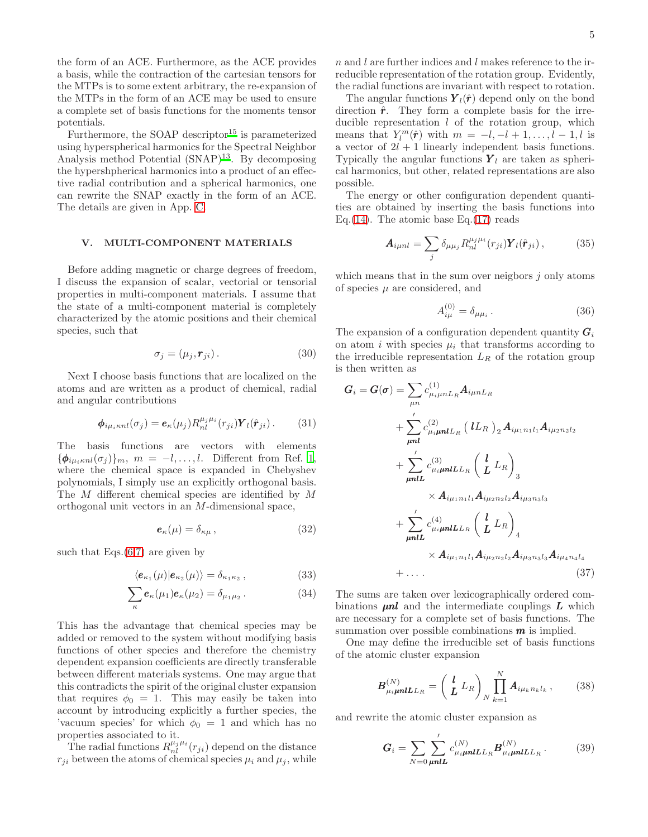the form of an ACE. Furthermore, as the ACE provides a basis, while the contraction of the cartesian tensors for the MTPs is to some extent arbitrary, the re-expansion of the MTPs in the form of an ACE may be used to ensure a complete set of basis functions for the moments tensor potentials.

Furthermore, the SOAP descriptor<sup>[15](#page-10-11)</sup> is parameterized using hyperspherical harmonics for the Spectral Neighbor Analysis method Potential  $(SNAP)^{13}$  $(SNAP)^{13}$  $(SNAP)^{13}$ . By decomposing the hypershpherical harmonics into a product of an effective radial contribution and a spherical harmonics, one can rewrite the SNAP exactly in the form of an ACE. The details are given in App. [C.](#page-9-0)

### V. MULTI-COMPONENT MATERIALS

Before adding magnetic or charge degrees of freedom, I discuss the expansion of scalar, vectorial or tensorial properties in multi-component materials. I assume that the state of a multi-component material is completely characterized by the atomic positions and their chemical species, such that

$$
\sigma_j = (\mu_j, \mathbf{r}_{ji}). \tag{30}
$$

Next I choose basis functions that are localized on the atoms and are written as a product of chemical, radial and angular contributions

$$
\phi_{i\mu_i\kappa n l}(\sigma_j) = \mathbf{e}_{\kappa}(\mu_j) R_{nl}^{\mu_j \mu_i}(r_{ji}) \mathbf{Y}_l(\hat{\mathbf{r}}_{ji}). \quad (31)
$$

The basis functions are vectors with elements  ${\phi}_{i\mu_i\kappa n l}(\sigma_j)$ <sub>m</sub>,  $m = -l, \ldots, l$ . Different from Ref. [1](#page-10-0), where the chemical space is expanded in Chebyshev polynomials, I simply use an explicitly orthogonal basis. The M different chemical species are identified by M orthogonal unit vectors in an M-dimensional space,

$$
\boldsymbol{e}_{\kappa}(\mu) = \delta_{\kappa\mu} \,, \tag{32}
$$

such that  $Eqs.(6,7)$  $Eqs.(6,7)$  $Eqs.(6,7)$  are given by

$$
\langle \mathbf{e}_{\kappa_1}(\mu) | \mathbf{e}_{\kappa_2}(\mu) \rangle = \delta_{\kappa_1 \kappa_2}, \tag{33}
$$

$$
\sum_{\kappa} \boldsymbol{e}_{\kappa}(\mu_1) \boldsymbol{e}_{\kappa}(\mu_2) = \delta_{\mu_1 \mu_2} . \tag{34}
$$

This has the advantage that chemical species may be added or removed to the system without modifying basis functions of other species and therefore the chemistry dependent expansion coefficients are directly transferable between different materials systems. One may argue that this contradicts the spirit of the original cluster expansion that requires  $\phi_0 = 1$ . This may easily be taken into account by introducing explicitly a further species, the 'vacuum species' for which  $\phi_0 = 1$  and which has no properties associated to it.

The radial functions  $R_{nl}^{\mu_j\mu_i}(r_{ji})$  depend on the distance  $r_{ji}$  between the atoms of chemical species  $\mu_i$  and  $\mu_j$ , while

n and l are further indices and l makes reference to the irreducible representation of the rotation group. Evidently, the radial functions are invariant with respect to rotation.

The angular functions  $\mathbf{Y}_l(\hat{\mathbf{r}})$  depend only on the bond direction  $\hat{r}$ . They form a complete basis for the irreducible representation  $l$  of the rotation group, which means that  $Y_l^m(\hat{r})$  with  $m = -l, -l + 1, \ldots, l - 1, l$  is a vector of  $2l + 1$  linearly independent basis functions. Typically the angular functions  $Y_l$  are taken as spherical harmonics, but other, related representations are also possible.

The energy or other configuration dependent quantities are obtained by inserting the basis functions into Eq.  $(14)$ . The atomic base Eq.  $(17)$  reads

$$
\mathbf{A}_{i\mu n l} = \sum_{j} \delta_{\mu \mu_j} R_{n l}^{\mu_j \mu_i}(r_{ji}) \mathbf{Y}_l(\hat{\mathbf{r}}_{ji}), \qquad (35)
$$

which means that in the sum over neigbors  $i$  only atoms of species  $\mu$  are considered, and

$$
A_{i\mu}^{(0)} = \delta_{\mu\mu_i} \,. \tag{36}
$$

The expansion of a configuration dependent quantity  $G_i$ on atom i with species  $\mu_i$  that transforms according to the irreducible representation  $L_R$  of the rotation group is then written as

$$
G_{i} = G(\sigma) = \sum_{\mu n} c_{\mu_{i}\mu n}^{(1)} L_{R} A_{i\mu n} L_{R}
$$
  
+  $\sum_{\mu n}^{'} c_{\mu_{i}\mu n}^{(2)} (IL_{R})_{2} A_{i\mu_{1}n_{1}l_{1}} A_{i\mu_{2}n_{2}l_{2}}$   
+  $\sum_{\mu nl}^{'} c_{\mu_{i}\mu nl}^{(3)} (L_{R})_{3}$   
×  $A_{i\mu_{1}n_{1}l_{1}} A_{i\mu_{2}n_{2}l_{2}} A_{i\mu_{3}n_{3}l_{3}}$   
+  $\sum_{\mu nl}^{'} c_{\mu_{i}\mu nl}^{(4)} (L_{R})_{4}$   
×  $A_{i\mu_{1}n_{1}l_{1}} A_{i\mu_{2}n_{2}l_{2}} A_{i\mu_{3}n_{3}l_{3}} A_{i\mu_{4}n_{4}l_{4}}$   
+ ... (37)

The sums are taken over lexicographically ordered combinations  $\mu$ nl and the intermediate couplings  $L$  which are necessary for a complete set of basis functions. The summation over possible combinations  $\boldsymbol{m}$  is implied.

One may define the irreducible set of basis functions of the atomic cluster expansion

<span id="page-4-0"></span>
$$
\boldsymbol{B}_{\mu_{i}}^{(N)} \boldsymbol{m}_{\boldsymbol{L}}^{(L)} = \left(\boldsymbol{L}_{1}^{(L)} \boldsymbol{L}_{R}\right) \prod_{N}^{N} \boldsymbol{A}_{i}^{(L)} \boldsymbol{A}_{i}^{(L)}^{(N)}, \qquad (38)
$$

and rewrite the atomic cluster expansion as

$$
G_{i} = \sum_{N=0} \sum_{\mu n l}^{\prime} c_{\mu i \mu n l L L_{R}}^{(N)} B_{\mu i \mu n l L L_{R}}^{(N)}.
$$
 (39)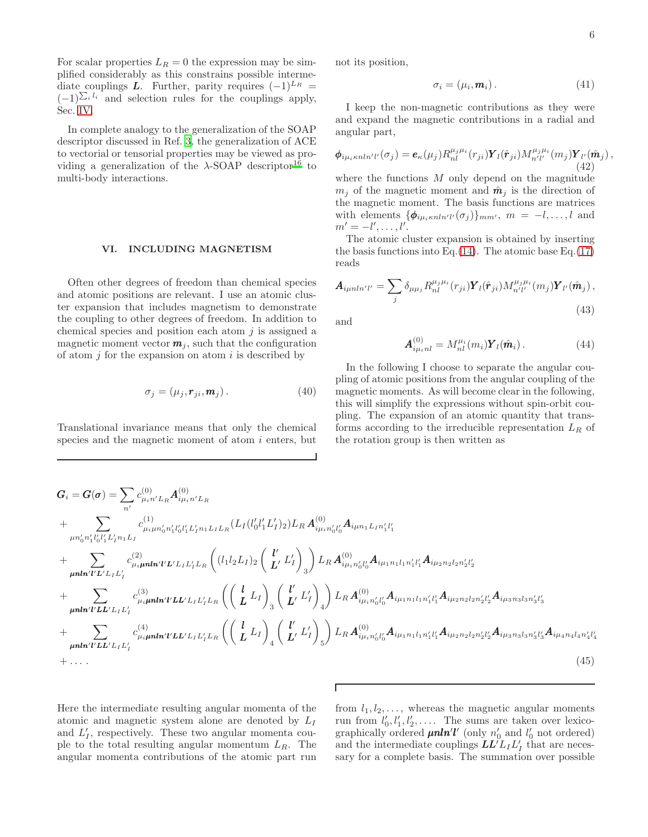For scalar properties  $L_R = 0$  the expression may be simplified considerably as this constrains possible intermediate couplings **L**. Further, parity requires  $(-1)^{L_R}$  =  $(-1)^{\sum_i l_i}$  and selection rules for the couplings apply, Sec. [IV.](#page-2-3)

In complete analogy to the generalization of the SOAP descriptor discussed in Ref. [3,](#page-10-2) the generalization of ACE to vectorial or tensorial properties may be viewed as providing a generalization of the  $\lambda$ -SOAP descriptor<sup>[16](#page-10-12)</sup> to multi-body interactions.

### VI. INCLUDING MAGNETISM

Often other degrees of freedom than chemical species and atomic positions are relevant. I use an atomic cluster expansion that includes magnetism to demonstrate the coupling to other degrees of freedom. In addition to chemical species and position each atom  $j$  is assigned a magnetic moment vector  $m_j$ , such that the configuration of atom  $j$  for the expansion on atom  $i$  is described by

$$
\sigma_j = (\mu_j, \mathbf{r}_{ji}, \mathbf{m}_j). \tag{40}
$$

Translational invariance means that only the chemical species and the magnetic moment of atom  $i$  enters, but not its position,

$$
\sigma_i = (\mu_i, \mathbf{m}_i). \tag{41}
$$

I keep the non-magnetic contributions as they were and expand the magnetic contributions in a radial and angular part,

$$
\boldsymbol{\phi}_{i\mu_i\kappa nln'l'}(\sigma_j) = \boldsymbol{e}_{\kappa}(\mu_j) R_{nl}^{\mu_j\mu_i}(r_{ji}) \boldsymbol{Y}_l(\hat{\boldsymbol{r}}_{ji}) M_{n'l'}^{\mu_j\mu_i}(m_j) \boldsymbol{Y}_{l'}(\hat{\boldsymbol{m}}_j) ,
$$
\n(42)

where the functions  $M$  only depend on the magnitude  $m_i$  of the magnetic moment and  $\hat{\mathbf{m}}_i$  is the direction of the magnetic moment. The basis functions are matrices with elements  $\{\boldsymbol{\phi}_{i\mu_i\kappa nln'l'}(\sigma_j)\}_{mm'}$ ,  $m = -l, \ldots, l$  and  $m' = -l', \ldots, l'.$ 

The atomic cluster expansion is obtained by inserting the basis functions into Eq.  $(14)$ . The atomic base Eq.  $(17)$ reads

$$
\mathbf{A}_{i\mu nln'l'} = \sum_{j} \delta_{\mu\mu_j} R_{nl}^{\mu_j\mu_i}(r_{ji}) \mathbf{Y}_l(\hat{\mathbf{r}}_{ji}) M_{n'l'}^{\mu_j\mu_i}(m_j) \mathbf{Y}_{l'}(\hat{\mathbf{m}}_j) ,
$$
\n(43)

and

$$
\mathbf{A}_{i\mu_i n l}^{(0)} = M_{n l}^{\mu_i} (m_i) \mathbf{Y}_l (\hat{\mathbf{m}}_i) \,. \tag{44}
$$

In the following I choose to separate the angular coupling of atomic positions from the angular coupling of the magnetic moments. As will become clear in the following, this will simplify the expressions without spin-orbit coupling. The expansion of an atomic quantity that transforms according to the irreducible representation  $L_R$  of the rotation group is then written as

$$
G_{i} = G(\sigma) = \sum_{n'} c_{\mu_{i}n'L_{R}}^{(0)} A_{i\mu_{i}n'L_{R}}^{(0)}
$$
  
+ 
$$
\sum_{\mu n'_{0}n'_{1}l'_{0}l'_{1}L'_{l}n_{1}L_{I}} c_{\mu_{i}\mu n'_{0}n'_{1}l'_{0}l'_{1}L'_{l}n_{1}L_{I}R}^{(1)} (L_{I}(l'_{0}l'_{1}L'_{I})_{2}) L_{R} A_{i\mu_{i}n'_{0}l'_{0}}^{(0)} A_{i\mu n_{1}L_{I}n'_{1}l'_{1}}
$$
  
+ 
$$
\sum_{\mu n\mathbf{h'}l'L'L_{I}L'_{I}n'_{1}} c_{\mu_{i}\mu n\mathbf{h'}l'L'L_{I}L'_{I}L_{R}}^{(2)} (l_{1}l_{2}L_{I})_{2} (\begin{array}{c} l' \\ L' \end{array})_{3}^{\prime}) L_{R} A_{i\mu_{i}n'_{0}l'_{0}}^{(0)} A_{i\mu_{1}n_{1}l_{1}n'_{1}l'_{1}} A_{i\mu_{2}n_{2}l_{2}n'_{2}l'_{2}}
$$
  
+ 
$$
\sum_{\mu n\mathbf{h'}l'L'L'L_{I}L'_{I}} c_{\mu_{i}\mu n\mathbf{h'}l'L L' L_{I}L'_{I}L_{R}}^{(3)} (l_{L}L_{I})_{3} (\begin{array}{c} l' \\ L' \end{array})_{4}^{\prime}) L_{R} A_{i\mu_{i}n'_{0}l'_{0}}^{(0)} A_{i\mu_{1}n_{1}l_{1}n'_{1}l'_{1}} A_{i\mu_{2}n_{2}l_{2}n'_{2}l'_{2}} A_{i\mu_{3}n_{3}l_{3}n'_{3}l'_{3}}
$$
  
+ 
$$
\sum_{\mu n\mathbf{h'}l'L L' L' L' L'_{I}} c_{\mu_{i}n\mathbf{h'}l'L L' L' L' L' L' L_{R}}^{(4)} (l_{L}L_{I})_{4} (\begin{array}{c} l' \\ L' \end{array})_{4}^{\prime}) L_{R} A_{i\mu_{i}n'_{0}l'_{0}}^{(0)} A_{i\mu_{1}n_{1}l_{1}n
$$

<span id="page-5-0"></span> $\overline{1}$ 

Here the intermediate resulting angular momenta of the atomic and magnetic system alone are denoted by  $L_I$ and  $L'_I$ , respectively. These two angular momenta couple to the total resulting angular momentum  $L_R$ . The angular momenta contributions of the atomic part run

from  $l_1, l_2, \ldots$ , whereas the magnetic angular moments run from  $l'_0, l'_1, l'_2, \ldots$ . The sums are taken over lexicographically ordered  $\mu n ln'l'$  (only  $n'_0$  and  $l'_0$  not ordered) and the intermediate couplings  $\boldsymbol{L}\boldsymbol{L}'\boldsymbol{L}_I\boldsymbol{L}_I'$  that are necessary for a complete basis. The summation over possible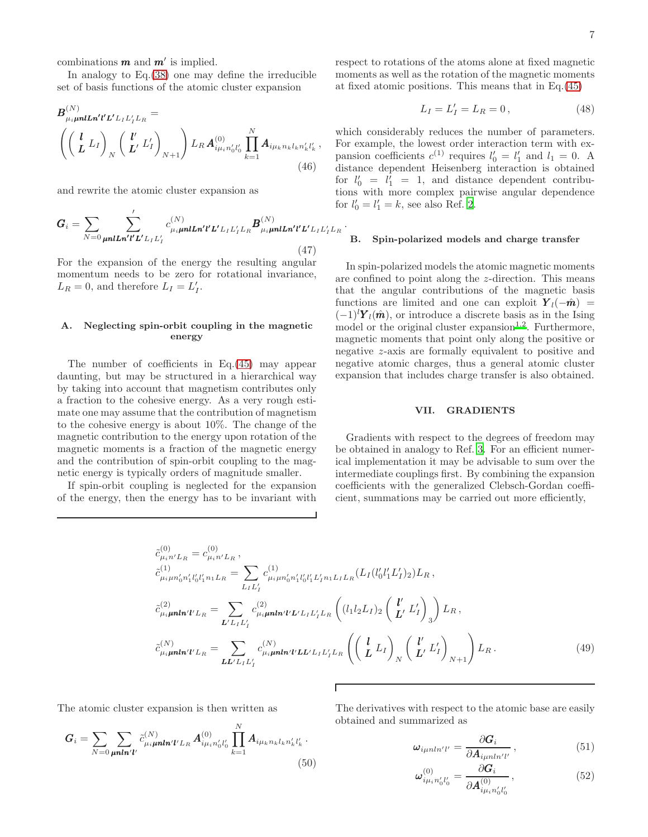combinations  $m$  and  $m'$  is implied.

In analogy to Eq.[\(38\)](#page-4-0) one may define the irreducible set of basis functions of the atomic cluster expansion

$$
B_{\mu_i\mu n l\ln'l' L' L_I L'_I L_R}^{(N)} = \left( \left( \begin{array}{c} l \\ L \end{array} L_I \right)_{N} \left( \begin{array}{c} l' \\ L' \end{array} L'_I \right)_{N+1} \right) L_R A_{i\mu_i n'_0 l'_0}^{(0)} \prod_{k=1}^N A_{i\mu_k n_k l_k n'_k l'_k} , \tag{46}
$$

and rewrite the atomic cluster expansion as

$$
G_{i} = \sum_{N=0} \sum_{\mu n l L n' l' L' L_{I} L'_{I}}' c_{\mu_{i} \mu n l L n' l' L' L_{I} L'_{I} L_{R}}^{(N)} B_{\mu_{i} \mu n l L n' l' L' L_{I} L'_{I} L_{R}}^{(N)}.
$$
\n(47)

For the expansion of the energy the resulting angular momentum needs to be zero for rotational invariance,  $L_R = 0$ , and therefore  $L_I = L'_I$ .

# A. Neglecting spin-orbit coupling in the magnetic energy

The number of coefficients in Eq.[\(45\)](#page-5-0) may appear daunting, but may be structured in a hierarchical way by taking into account that magnetism contributes only a fraction to the cohesive energy. As a very rough estimate one may assume that the contribution of magnetism to the cohesive energy is about 10%. The change of the magnetic contribution to the energy upon rotation of the magnetic moments is a fraction of the magnetic energy and the contribution of spin-orbit coupling to the magnetic energy is typically orders of magnitude smaller.

If spin-orbit coupling is neglected for the expansion of the energy, then the energy has to be invariant with respect to rotations of the atoms alone at fixed magnetic moments as well as the rotation of the magnetic moments at fixed atomic positions. This means that in Eq.[\(45\)](#page-5-0)

$$
L_I = L'_I = L_R = 0, \t\t(48)
$$

which considerably reduces the number of parameters. For example, the lowest order interaction term with expansion coefficients  $c^{(1)}$  requires  $l'_0 = l'_1$  and  $l_1 = 0$ . A distance dependent Heisenberg interaction is obtained for  $l'_0 = l'_1 = 1$ , and distance dependent contributions with more complex pairwise angular dependence for  $l'_0 = l'_1 = k$ , see also Ref. [2](#page-10-1).

#### B. Spin-polarized models and charge transfer

In spin-polarized models the atomic magnetic moments are confined to point along the z-direction. This means that the angular contributions of the magnetic basis functions are limited and one can exploit  $Y_l(-\hat{m})$  =  $(-1)^{l}Y_{l}(\hat{m})$ , or introduce a discrete basis as in the Ising model or the original cluster expansion<sup>[1](#page-10-0)[,2](#page-10-1)</sup>. Furthermore, magnetic moments that point only along the positive or negative z-axis are formally equivalent to positive and negative atomic charges, thus a general atomic cluster expansion that includes charge transfer is also obtained.

#### VII. GRADIENTS

Gradients with respect to the degrees of freedom may be obtained in analogy to Ref. [3.](#page-10-2) For an efficient numerical implementation it may be advisable to sum over the intermediate couplings first. By combining the expansion coefficients with the generalized Clebsch-Gordan coefficient, summations may be carried out more efficiently,

$$
\tilde{c}_{\mu_{i}n'L_{R}}^{(0)} = c_{\mu_{i}n'L_{R}}^{(0)}, \n\tilde{c}_{\mu_{i}\mu n'_{0}n'_{1}l'_{0}l'_{1}n_{1}L_{R}}^{(1)} = \sum_{L_{I}L'_{I}} c_{\mu_{i}\mu n'_{0}n'_{1}l'_{0}l'_{1}L'_{I}n_{1}L_{I}L_{R}}^{(1)} (L_{I}(l'_{0}l'_{1}L'_{I})_{2}) L_{R}, \n\tilde{c}_{\mu_{i}\mu nln'l'L_{R}}^{(2)} = \sum_{L'L_{I}L'_{I}} c_{\mu_{i}\mu nln'l'L'L_{I}L'_{I}L_{R}}^{(2)} \left( (l_{1}l_{2}L_{I})_{2} \left( \frac{l'}{L'} L'_{I} \right)_{3} \right) L_{R}, \n\tilde{c}_{\mu_{i}\mu nln'l'L_{R}}^{(N)} = \sum_{L L'L_{I}L'_{I}} c_{\mu_{i}\mu nln'l'L L'_{I}L'_{I}L_{R}}^{(N)} \left( \left( \frac{l}{L} L_{I} \right)_{N} \left( \frac{l'}{L'} L'_{I} \right)_{N+1} \right) L_{R}. \n(49)
$$

The atomic cluster expansion is then written as

$$
G_i = \sum_{N=0} \sum_{\mu n \ln' l'} \tilde{c}_{\mu_i \mu n \ln' l' L_R}^{(N)} A_{i \mu_i n'_0 l'_0}^{(0)} \prod_{k=1}^N A_{i \mu_k n_k l_k n'_k l'_k}.
$$
\n(50)

The derivatives with respect to the atomic base are easily obtained and summarized as

$$
\omega_{i\mu nln'l'} = \frac{\partial G_i}{\partial A_{i\mu nln'l'}},\qquad(51)
$$

$$
\omega_{i\mu_i n'_0 l'_0}^{(0)} = \frac{\partial G_i}{\partial A_{i\mu_i n'_0 l'_0}^{(0)}},\tag{52}
$$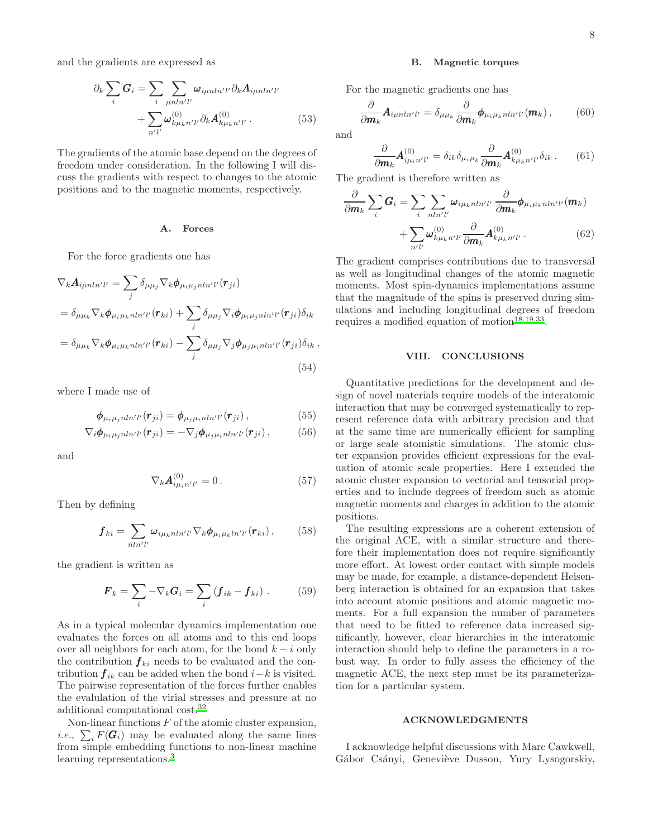and the gradients are expressed as

$$
\partial_k \sum_i \mathbf{G}_i = \sum_i \sum_{\mu n l n' l'} \omega_{i\mu n l n' l'} \partial_k \mathbf{A}_{i\mu n l n' l'} + \sum_{n' l'} \omega_{k\mu_k n' l'}^{(0)} \partial_k \mathbf{A}_{k\mu_k n' l'}^{(0)}.
$$
 (53)

The gradients of the atomic base depend on the degrees of freedom under consideration. In the following I will discuss the gradients with respect to changes to the atomic positions and to the magnetic moments, respectively.

#### A. Forces

For the force gradients one has

$$
\nabla_k \mathbf{A}_{i\mu n l n' l'} = \sum_j \delta_{\mu \mu_j} \nabla_k \phi_{\mu_i \mu_j n l n' l'}(\mathbf{r}_{ji})
$$
  
\n
$$
= \delta_{\mu \mu_k} \nabla_k \phi_{\mu_i \mu_k n l n' l'}(\mathbf{r}_{ki}) + \sum_j \delta_{\mu \mu_j} \nabla_i \phi_{\mu_i \mu_j n l n' l'}(\mathbf{r}_{ji}) \delta_{ik}
$$
  
\n
$$
= \delta_{\mu \mu_k} \nabla_k \phi_{\mu_i \mu_k n l n' l'}(\mathbf{r}_{ki}) - \sum_j \delta_{\mu \mu_j} \nabla_j \phi_{\mu_j \mu_i n l n' l'}(\mathbf{r}_{ji}) \delta_{ik},
$$
  
\n(54)

where I made use of

$$
\phi_{\mu_i\mu_jnln'l'}(\mathbf{r}_{ji}) = \phi_{\mu_j\mu_inln'l'}(\mathbf{r}_{ji}), \qquad (55)
$$

$$
\nabla_i \phi_{\mu_i \mu_j n l n' l'}(\mathbf{r}_{ji}) = -\nabla_j \phi_{\mu_j \mu_i n l n' l'}(\mathbf{r}_{ji}),\tag{56}
$$

and

$$
\nabla_k \mathbf{A}_{i\mu_i n'l'}^{(0)} = 0. \tag{57}
$$

Then by defining

$$
\boldsymbol{f}_{ki} = \sum_{nln'l'} \omega_{i\mu_k nln'l'} \nabla_k \boldsymbol{\phi}_{\mu_i \mu_k ln'l'}(\boldsymbol{r}_{ki}), \qquad (58)
$$

the gradient is written as

$$
\boldsymbol{F}_k = \sum_i -\nabla_k \boldsymbol{G}_i = \sum_i (\boldsymbol{f}_{ik} - \boldsymbol{f}_{ki}) \ . \tag{59}
$$

As in a typical molecular dynamics implementation one evaluates the forces on all atoms and to this end loops over all neighbors for each atom, for the bond  $k - i$  only the contribution  $f_{ki}$  needs to be evaluated and the contribution  $f_{ik}$  can be added when the bond  $i-k$  is visited. The pairwise representation of the forces further enables the evalulation of the virial stresses and pressure at no additional computational cost.[32](#page-10-24)

Non-linear functions  $F$  of the atomic cluster expansion, *i.e.*,  $\sum_i F(\mathbf{G}_i)$  may be evaluated along the same lines from simple embedding functions to non-linear machine learning representations.<sup>[3](#page-10-2)</sup>

### B. Magnetic torques

For the magnetic gradients one has

$$
\frac{\partial}{\partial \mathbf{m}_k} \mathbf{A}_{i\mu n l n' l'} = \delta_{\mu \mu_k} \frac{\partial}{\partial \mathbf{m}_k} \boldsymbol{\phi}_{\mu_i \mu_k n l n' l'}(\mathbf{m}_k), \qquad (60)
$$

and

$$
\frac{\partial}{\partial m_k} A^{(0)}_{i\mu_i n'l'} = \delta_{ik} \delta_{\mu_i \mu_k} \frac{\partial}{\partial m_k} A^{(0)}_{k\mu_k n'l'} \delta_{ik} . \tag{61}
$$

The gradient is therefore written as

$$
\frac{\partial}{\partial m_k} \sum_i \mathbf{G}_i = \sum_i \sum_{nln'l'} \omega_{i\mu_k nln'l'} \frac{\partial}{\partial m_k} \phi_{\mu_i \mu_k nln'l'} (m_k) + \sum_{n'l'} \omega_{k\mu_k n'l'}^{(0)} \frac{\partial}{\partial m_k} \mathbf{A}_{k\mu_k n'l'}^{(0)}.
$$
 (62)

The gradient comprises contributions due to transversal as well as longitudinal changes of the atomic magnetic moments. Most spin-dynamics implementations assume that the magnitude of the spins is preserved during simulations and including longitudinal degrees of freedom requires a modified equation of motion<sup>[18](#page-10-14)[,19](#page-10-25)[,33](#page-10-26)</sup>.

### VIII. CONCLUSIONS

Quantitative predictions for the development and design of novel materials require models of the interatomic interaction that may be converged systematically to represent reference data with arbitrary precision and that at the same time are numerically efficient for sampling or large scale atomistic simulations. The atomic cluster expansion provides efficient expressions for the evaluation of atomic scale properties. Here I extended the atomic cluster expansion to vectorial and tensorial properties and to include degrees of freedom such as atomic magnetic moments and charges in addition to the atomic positions.

The resulting expressions are a coherent extension of the original ACE, with a similar structure and therefore their implementation does not require significantly more effort. At lowest order contact with simple models may be made, for example, a distance-dependent Heisenberg interaction is obtained for an expansion that takes into account atomic positions and atomic magnetic moments. For a full expansion the number of parameters that need to be fitted to reference data increased significantly, however, clear hierarchies in the interatomic interaction should help to define the parameters in a robust way. In order to fully assess the efficiency of the magnetic ACE, the next step must be its parameterization for a particular system.

### ACKNOWLEDGMENTS

I acknowledge helpful discussions with Marc Cawkwell, Gábor Csányi, Geneviève Dusson, Yury Lysogorskiy,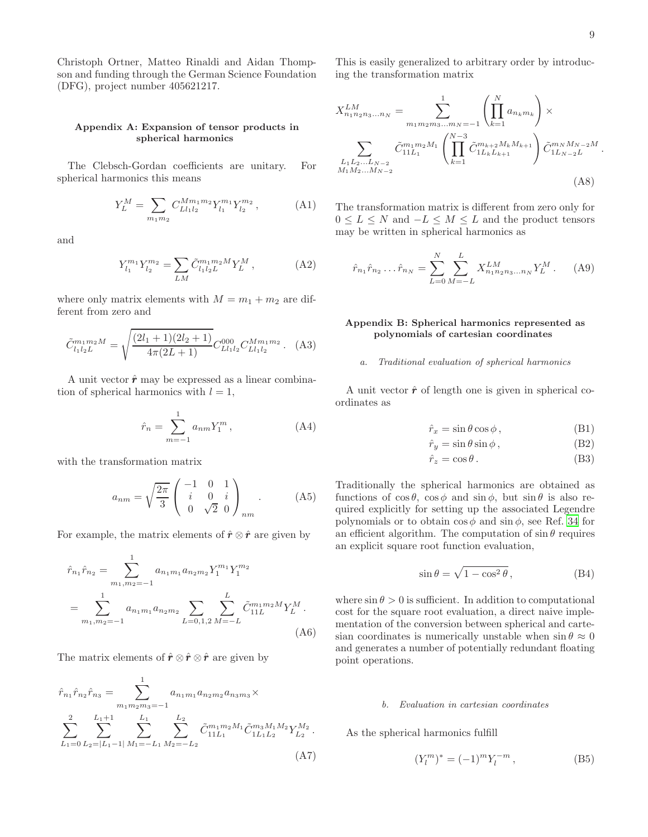Christoph Ortner, Matteo Rinaldi and Aidan Thompson and funding through the German Science Foundation (DFG), project number 405621217.

### <span id="page-8-0"></span>Appendix A: Expansion of tensor products in spherical harmonics

The Clebsch-Gordan coefficients are unitary. For spherical harmonics this means

$$
Y_L^M = \sum_{m_1 m_2} C_{L l_1 l_2}^{M m_1 m_2} Y_{l_1}^{m_1} Y_{l_2}^{m_2}, \tag{A1}
$$

and

$$
Y_{l_1}^{m_1} Y_{l_2}^{m_2} = \sum_{LM} \tilde{C}_{l_1 l_2 L}^{m_1 m_2 M} Y_L^M , \qquad (A2)
$$

where only matrix elements with  $M = m_1 + m_2$  are different from zero and

$$
\tilde{C}_{l_1 l_2 L}^{m_1 m_2 M} = \sqrt{\frac{(2l_1 + 1)(2l_2 + 1)}{4\pi (2L + 1)}} C_{L l_1 l_2}^{000} C_{L l_1 l_2}^{M m_1 m_2}.
$$
 (A3)

A unit vector  $\hat{r}$  may be expressed as a linear combination of spherical harmonics with  $l = 1$ ,

$$
\hat{r}_n = \sum_{m=-1}^1 a_{nm} Y_1^m , \qquad (A4)
$$

with the transformation matrix

$$
a_{nm} = \sqrt{\frac{2\pi}{3}} \begin{pmatrix} -1 & 0 & 1\\ i & 0 & i\\ 0 & \sqrt{2} & 0 \end{pmatrix}_{nm} .
$$
 (A5)

For example, the matrix elements of  $\hat{r} \otimes \hat{r}$  are given by

$$
\hat{r}_{n_1}\hat{r}_{n_2} = \sum_{m_1,m_2=-1}^{1} a_{n_1m_1} a_{n_2m_2} Y_1^{m_1} Y_1^{m_2}
$$
\n
$$
= \sum_{m_1,m_2=-1}^{1} a_{n_1m_1} a_{n_2m_2} \sum_{L=0,1,2} \sum_{M=-L}^{L} \tilde{C}_{11L}^{m_1m_2} Y_L^M.
$$
\n(A6)

The matrix elements of  $\hat{r} \otimes \hat{r} \otimes \hat{r}$  are given by

$$
\hat{r}_{n_1}\hat{r}_{n_2}\hat{r}_{n_3} = \sum_{m_1m_2m_3=-1}^{1} a_{n_1m_1}a_{n_2m_2}a_{n_3m_3} \times \sum_{L_1=0}^{2} \sum_{L_2=|L_1-1|}^{L_1+1} \sum_{M_1=-L_1}^{L_1} \sum_{M_2=-L_2}^{L_2} \tilde{C}_{11L_1}^{m_1m_2M_1} \tilde{C}_{1L_1L_2}^{m_3M_1M_2} Y_{L_2}^{M_2}.
$$
\n(A7)

This is easily generalized to arbitrary order by introducing the transformation matrix

$$
X_{n_1 n_2 n_3...n_N}^{LM} = \sum_{m_1 m_2 m_3...m_N = -1}^{1} \left( \prod_{k=1}^{N} a_{n_k m_k} \right) \times
$$
  

$$
\sum_{\substack{L_1 L_2...L_{N-2} \\ M_1 M_2...M_{N-2}}} \tilde{C}_{11L_1}^{m_1 m_2 M_1} \left( \prod_{k=1}^{N-3} \tilde{C}_{1L_k L_{k+1}}^{m_{k+2} M_k M_{k+1}} \right) \tilde{C}_{1L_{N-2} L}^{m_N M_{N-2} M}.
$$
  
(A8)

The transformation matrix is different from zero only for  $0 \leq L \leq N$  and  $-L \leq M \leq L$  and the product tensors may be written in spherical harmonics as

<span id="page-8-1"></span>
$$
\hat{r}_{n_1}\hat{r}_{n_2}\dots\hat{r}_{n_N} = \sum_{L=0}^{N} \sum_{M=-L}^{L} X_{n_1 n_2 n_3 \dots n_N}^{LM} Y_L^M.
$$
 (A9)

### <span id="page-8-2"></span>Appendix B: Spherical harmonics represented as polynomials of cartesian coordinates

#### a. Traditional evaluation of spherical harmonics

A unit vector  $\hat{\mathbf{r}}$  of length one is given in spherical coordinates as

$$
\hat{r}_x = \sin \theta \cos \phi, \qquad (B1)
$$

$$
\hat{r}_y = \sin \theta \sin \phi \,,\tag{B2}
$$

$$
\hat{r}_z = \cos \theta \,. \tag{B3}
$$

Traditionally the spherical harmonics are obtained as functions of  $\cos \theta$ ,  $\cos \phi$  and  $\sin \phi$ , but  $\sin \theta$  is also required explicitly for setting up the associated Legendre polynomials or to obtain  $\cos \phi$  and  $\sin \phi$ , see Ref. [34](#page-10-27) for an efficient algorithm. The computation of  $\sin \theta$  requires an explicit square root function evaluation,

$$
\sin \theta = \sqrt{1 - \cos^2 \theta}, \tag{B4}
$$

where  $\sin \theta > 0$  is sufficient. In addition to computational cost for the square root evaluation, a direct naive implementation of the conversion between spherical and cartesian coordinates is numerically unstable when  $\sin \theta \approx 0$ and generates a number of potentially redundant floating point operations.

#### b. Evaluation in cartesian coordinates

As the spherical harmonics fulfill

$$
(Y_l^m)^* = (-1)^m Y_l^{-m}, \t\t(B5)
$$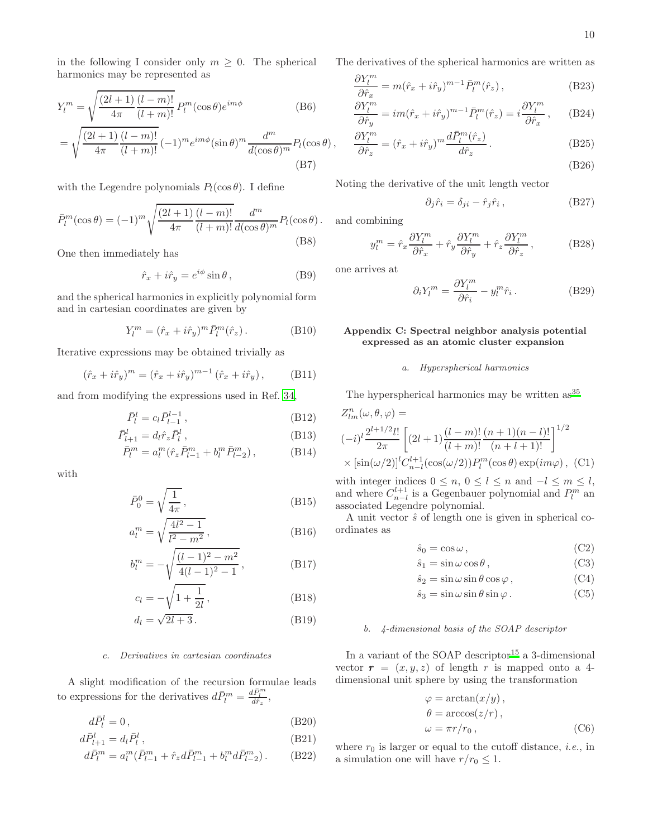in the following I consider only  $m \geq 0$ . The spherical harmonics may be represented as

$$
Y_l^m = \sqrt{\frac{(2l+1)}{4\pi} \frac{(l-m)!}{(l+m)!}} P_l^m(\cos\theta)e^{im\phi}
$$
 (B6)

$$
= \sqrt{\frac{(2l+1)}{4\pi} \frac{(l-m)!}{(l+m)!}} (-1)^m e^{im\phi} (\sin \theta)^m \frac{d^m}{d(\cos \theta)^m} P_l(\cos \theta) ,
$$
\n(B7)

with the Legendre polynomials  $P_l(\cos \theta)$ . I define

$$
\bar{P}_l^m(\cos\theta) = (-1)^m \sqrt{\frac{(2l+1)}{4\pi} \frac{(l-m)!}{(l+m)!}} \frac{d^m}{d(\cos\theta)^m} P_l(\cos\theta).
$$
\n(B8)

One then immediately has

$$
\hat{r}_x + i\hat{r}_y = e^{i\phi}\sin\theta\,,\tag{B9}
$$

and the spherical harmonics in explicitly polynomial form and in cartesian coordinates are given by

$$
Y_l^m = (\hat{r}_x + i\hat{r}_y)^m \bar{P}_l^m(\hat{r}_z).
$$
 (B10)

Iterative expressions may be obtained trivially as

$$
(\hat{r}_x + i\hat{r}_y)^m = (\hat{r}_x + i\hat{r}_y)^{m-1} (\hat{r}_x + i\hat{r}_y),
$$
 (B11)

and from modifying the expressions used in Ref. [34](#page-10-27),

$$
\bar{P}_l^l = c_l \bar{P}_{l-1}^{l-1} ,\qquad (B12)
$$

$$
\bar{P}_{l+1}^l = d_l \hat{r}_z \bar{P}_l^l , \qquad (B13)
$$

$$
\bar{P}_l^m = a_l^m (\hat{r}_z \bar{P}_{l-1}^m + b_l^m \bar{P}_{l-2}^m), \tag{B14}
$$

with

$$
\bar{P}_0^0 = \sqrt{\frac{1}{4\pi}}\,,\tag{B15}
$$

$$
a_l^m = \sqrt{\frac{4l^2 - 1}{l^2 - m^2}},
$$
\n(B16)

$$
b_l^m = -\sqrt{\frac{(l-1)^2 - m^2}{4(l-1)^2 - 1}},
$$
 (B17)

$$
c_l = -\sqrt{1 + \frac{1}{2l}},
$$
 (B18)

$$
d_l = \sqrt{2l+3} \,. \tag{B19}
$$

# c. Derivatives in cartesian coordinates

A slight modification of the recursion formulae leads to expressions for the derivatives  $d\bar{P}_l^m = \frac{d\bar{P}_l^m}{d\hat{r}_z}$ ,

$$
d\bar{P}_l^l = 0, \t\t(B20)
$$

$$
d\bar{P}_{l+1}^l = d_l \bar{P}_l^l \,,\tag{B21}
$$

$$
d\bar{P}_l^m = a_l^m(\bar{P}_{l-1}^m + \hat{r}_z d\bar{P}_{l-1}^m + b_l^m d\bar{P}_{l-2}^m). \tag{B22}
$$

<span id="page-9-1"></span>The derivatives of the spherical harmonics are written as

$$
\frac{\partial Y_l^m}{\partial \hat{r}_x} = m(\hat{r}_x + i\hat{r}_y)^{m-1} \bar{P}_l^m(\hat{r}_z), \qquad (B23)
$$

$$
\frac{\partial Y_l^m}{\partial \hat{r}_y} = im(\hat{r}_x + i\hat{r}_y)^{m-1} \bar{P}_l^m(\hat{r}_z) = i \frac{\partial Y_l^m}{\partial \hat{r}_x}, \quad (B24)
$$

$$
\frac{\partial Y_l^m}{\partial \hat{r}_z} = (\hat{r}_x + i\hat{r}_y)^m \frac{d\bar{P}_l^m(\hat{r}_z)}{d\hat{r}_z}.
$$
\n(B25)

(B26)

Noting the derivative of the unit length vector

$$
\partial_j \hat{r}_i = \delta_{ji} - \hat{r}_j \hat{r}_i, \tag{B27}
$$

and combining

$$
y_l^m = \hat{r}_x \frac{\partial Y_l^m}{\partial \hat{r}_x} + \hat{r}_y \frac{\partial Y_l^m}{\partial \hat{r}_y} + \hat{r}_z \frac{\partial Y_l^m}{\partial \hat{r}_z}, \qquad (B28)
$$

one arrives at

$$
\partial_i Y_l^m = \frac{\partial Y_l^m}{\partial \hat{r}_i} - y_l^m \hat{r}_i.
$$
 (B29)

# <span id="page-9-0"></span>Appendix C: Spectral neighbor analysis potential expressed as an atomic cluster expansion

#### a. Hyperspherical harmonics

The hyperspherical harmonics may be written as<sup>[35](#page-10-28)</sup>

$$
Z_{lm}^{n}(\omega, \theta, \varphi) =
$$
  

$$
(-i)^{l} \frac{2^{l+1/2}l!}{2\pi} \left[ (2l+1) \frac{(l-m)!}{(l+m)!} \frac{(n+1)(n-l)!}{(n+l+1)!} \right]^{1/2}
$$
  

$$
\times \left[ \sin(\omega/2) \right]^{l} C_{n-l}^{l+1}(\cos(\omega/2)) P_{l}^{m}(\cos\theta) \exp(im\varphi), (C1)
$$

with integer indices  $0 \le n, 0 \le l \le n$  and  $-l \le m \le l$ , and where  $C_{n-l}^{l+1}$  is a Gegenbauer polynomial and  $P_l^m$  and associated Legendre polynomial.

A unit vector  $\hat{s}$  of length one is given in spherical coordinates as

$$
\hat{s}_0 = \cos \omega \,,\tag{C2}
$$

$$
\hat{s}_1 = \sin \omega \cos \theta, \qquad (C3)
$$

$$
\hat{s}_2 = \sin \omega \sin \theta \cos \varphi, \qquad (C4)
$$

$$
\hat{s}_3 = \sin \omega \sin \theta \sin \varphi. \qquad (C5)
$$

### b. 4-dimensional basis of the SOAP descriptor

In a variant of the SOAP descriptor<sup>[15](#page-10-11)</sup> a 3-dimensional vector  $\mathbf{r} = (x, y, z)$  of length r is mapped onto a 4dimensional unit sphere by using the transformation

$$
\varphi = \arctan(x/y), \n\theta = \arccos(z/r), \n\omega = \pi r/r_0, \qquad (C6)
$$

where  $r_0$  is larger or equal to the cutoff distance, *i.e.*, in a simulation one will have  $r/r_0 \leq 1$ .